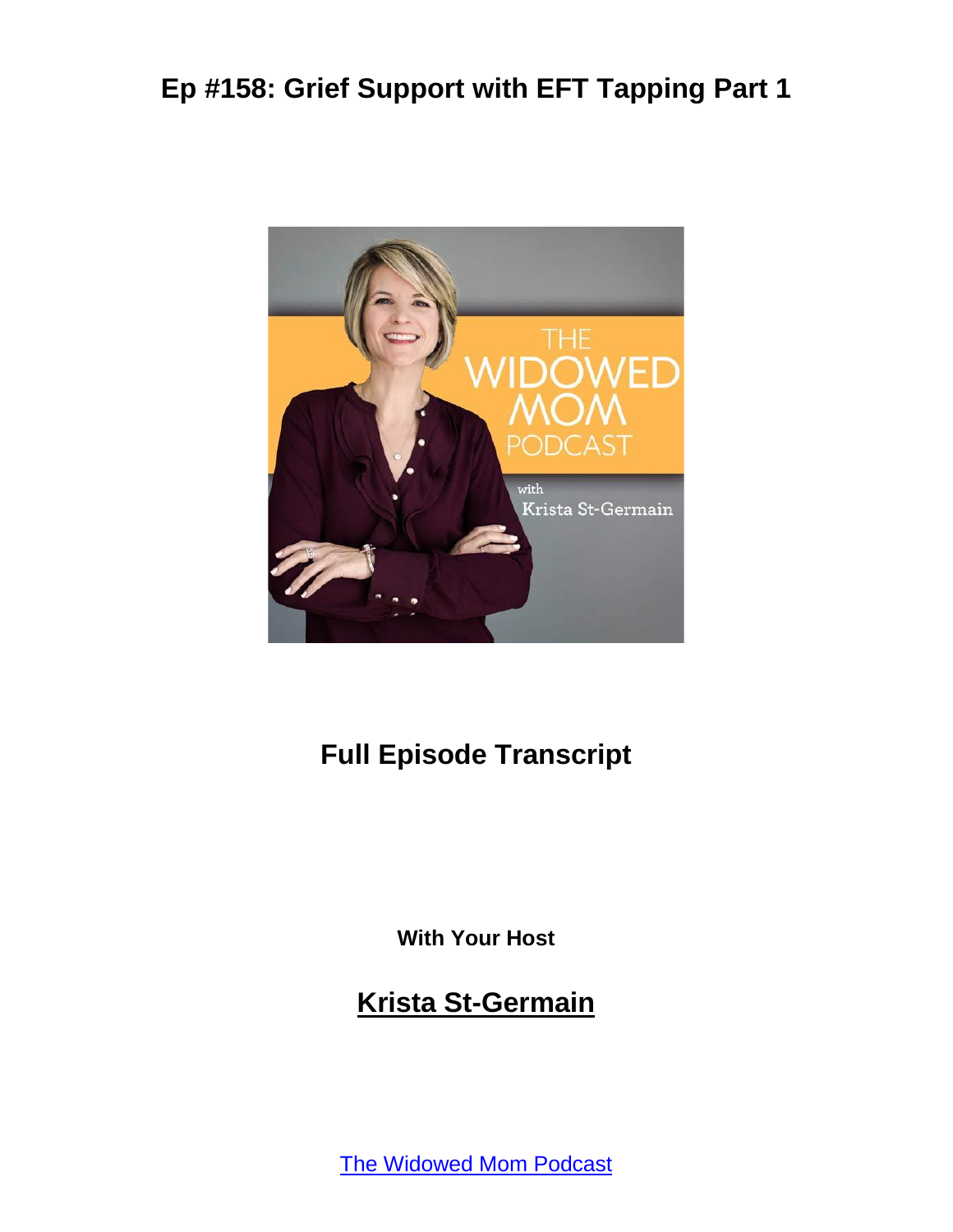

#### **Full Episode Transcript**

**With Your Host**

#### **Krista St-Germain**

[The Widowed Mom Podcast](https://coachingwithkrista.com/podcast)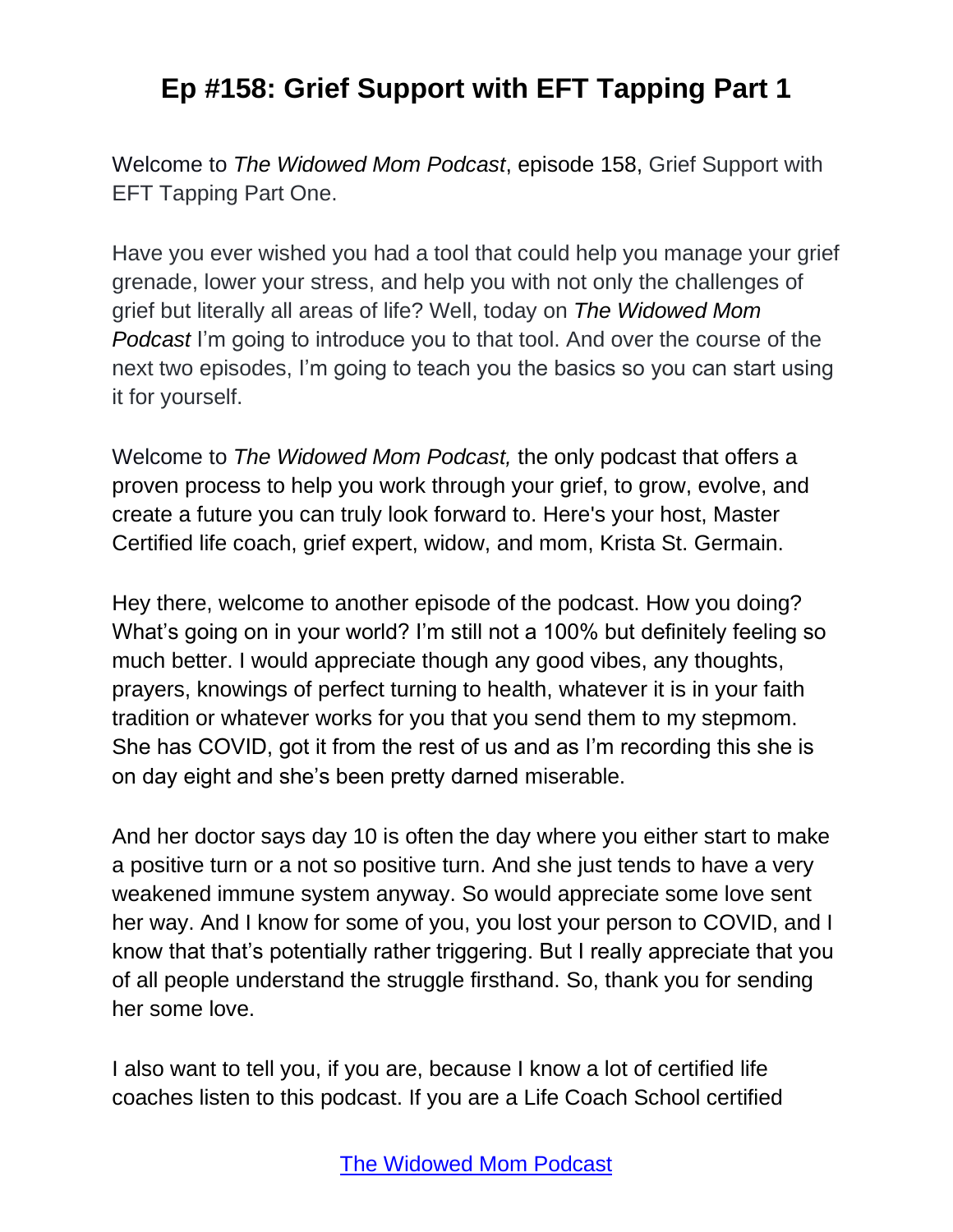Welcome to *The Widowed Mom Podcast*, episode 158, Grief Support with EFT Tapping Part One.

Have you ever wished you had a tool that could help you manage your grief grenade, lower your stress, and help you with not only the challenges of grief but literally all areas of life? Well, today on *The Widowed Mom Podcast* I'm going to introduce you to that tool. And over the course of the next two episodes, I'm going to teach you the basics so you can start using it for yourself.

Welcome to *The Widowed Mom Podcast,* the only podcast that offers a proven process to help you work through your grief, to grow, evolve, and create a future you can truly look forward to. Here's your host, Master Certified life coach, grief expert, widow, and mom, Krista St. Germain.

Hey there, welcome to another episode of the podcast. How you doing? What's going on in your world? I'm still not a 100% but definitely feeling so much better. I would appreciate though any good vibes, any thoughts, prayers, knowings of perfect turning to health, whatever it is in your faith tradition or whatever works for you that you send them to my stepmom. She has COVID, got it from the rest of us and as I'm recording this she is on day eight and she's been pretty darned miserable.

And her doctor says day 10 is often the day where you either start to make a positive turn or a not so positive turn. And she just tends to have a very weakened immune system anyway. So would appreciate some love sent her way. And I know for some of you, you lost your person to COVID, and I know that that's potentially rather triggering. But I really appreciate that you of all people understand the struggle firsthand. So, thank you for sending her some love.

I also want to tell you, if you are, because I know a lot of certified life coaches listen to this podcast. If you are a Life Coach School certified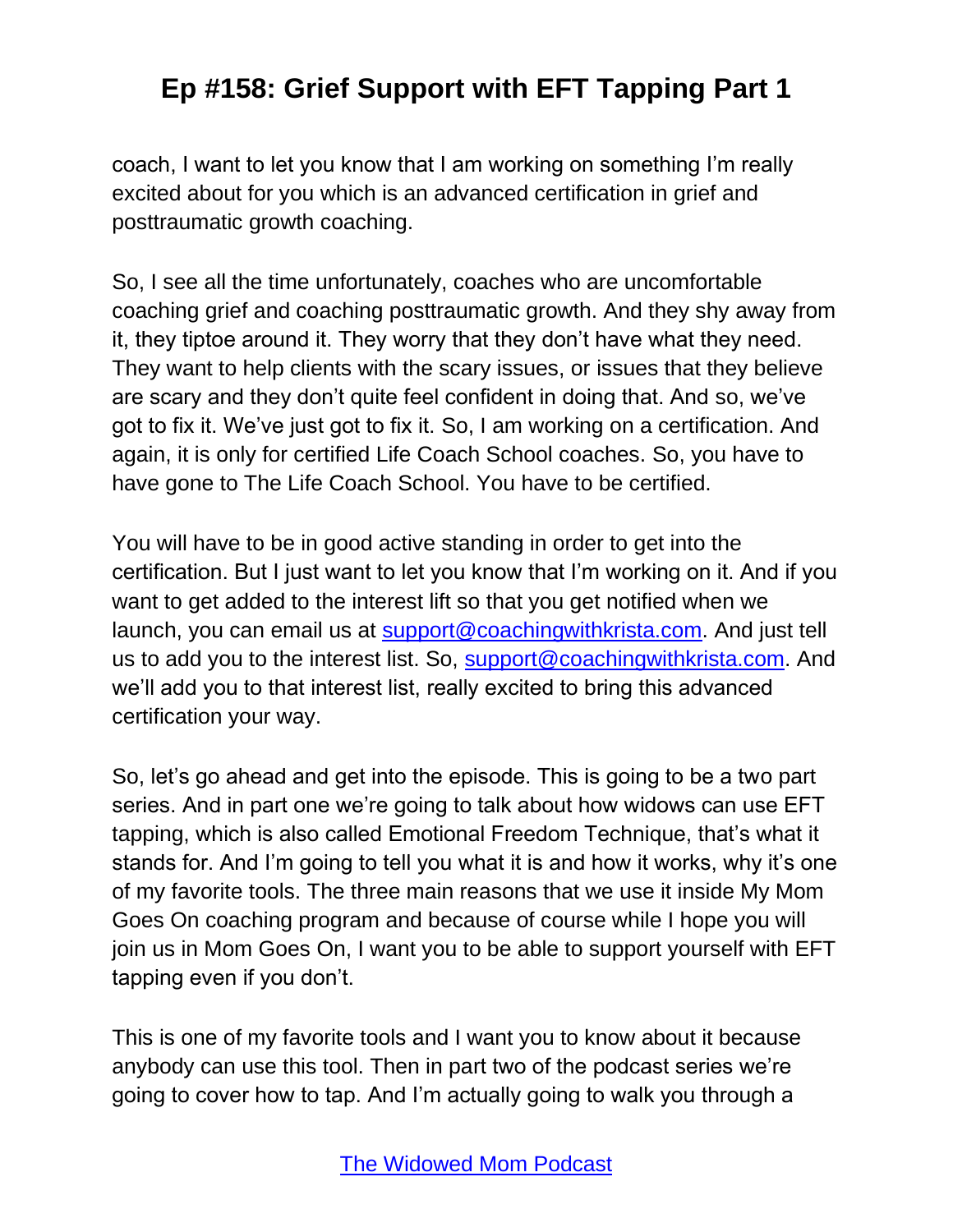coach, I want to let you know that I am working on something I'm really excited about for you which is an advanced certification in grief and posttraumatic growth coaching.

So, I see all the time unfortunately, coaches who are uncomfortable coaching grief and coaching posttraumatic growth. And they shy away from it, they tiptoe around it. They worry that they don't have what they need. They want to help clients with the scary issues, or issues that they believe are scary and they don't quite feel confident in doing that. And so, we've got to fix it. We've just got to fix it. So, I am working on a certification. And again, it is only for certified Life Coach School coaches. So, you have to have gone to The Life Coach School. You have to be certified.

You will have to be in good active standing in order to get into the certification. But I just want to let you know that I'm working on it. And if you want to get added to the interest lift so that you get notified when we launch, you can email us at [support@coachingwithkrista.com.](mailto:support@coachingwithkrista.com) And just tell us to add you to the interest list. So, [support@coachingwithkrista.com.](mailto:support@coachingwithkrista.com) And we'll add you to that interest list, really excited to bring this advanced certification your way.

So, let's go ahead and get into the episode. This is going to be a two part series. And in part one we're going to talk about how widows can use EFT tapping, which is also called Emotional Freedom Technique, that's what it stands for. And I'm going to tell you what it is and how it works, why it's one of my favorite tools. The three main reasons that we use it inside My Mom Goes On coaching program and because of course while I hope you will join us in Mom Goes On, I want you to be able to support yourself with EFT tapping even if you don't.

This is one of my favorite tools and I want you to know about it because anybody can use this tool. Then in part two of the podcast series we're going to cover how to tap. And I'm actually going to walk you through a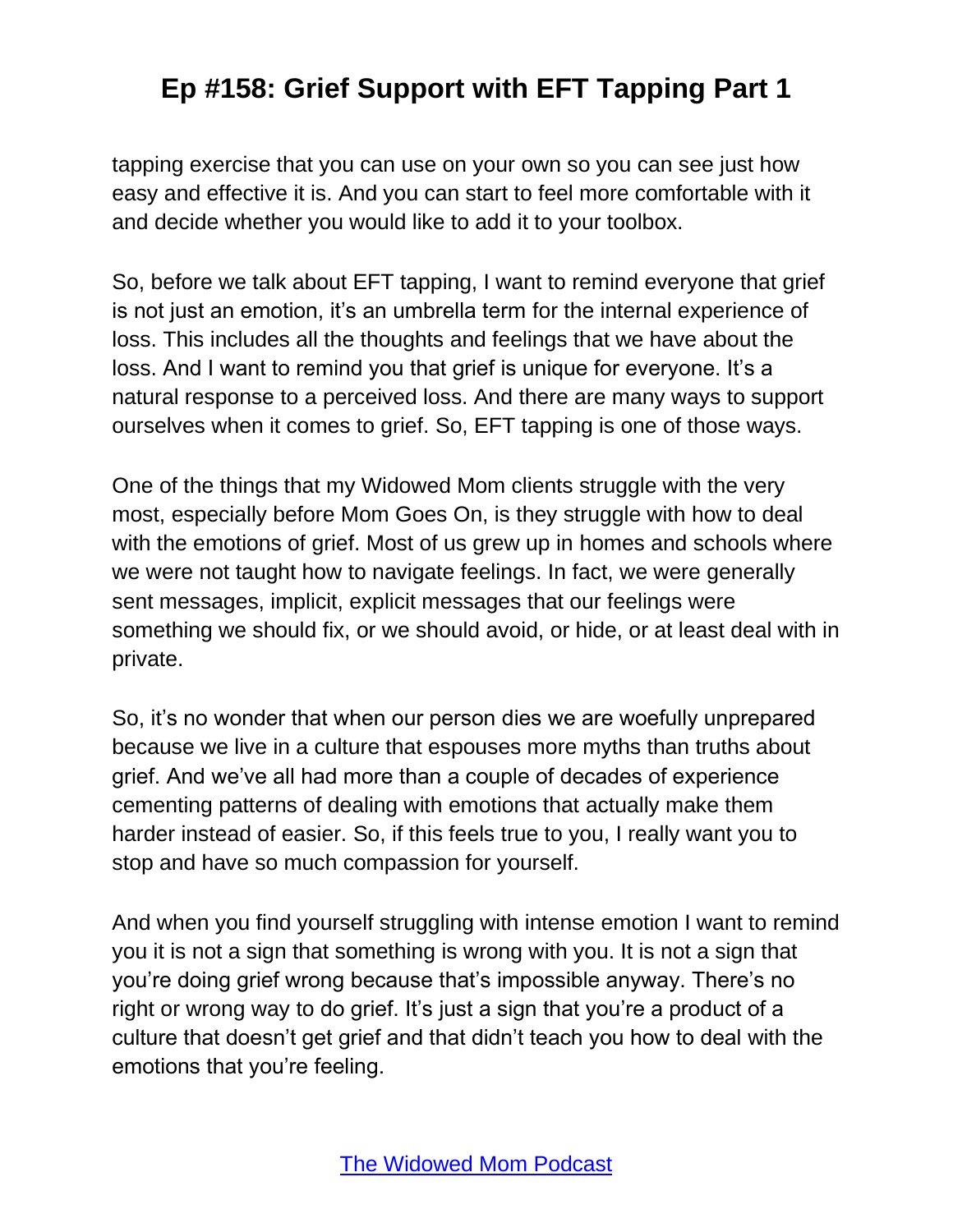tapping exercise that you can use on your own so you can see just how easy and effective it is. And you can start to feel more comfortable with it and decide whether you would like to add it to your toolbox.

So, before we talk about EFT tapping, I want to remind everyone that grief is not just an emotion, it's an umbrella term for the internal experience of loss. This includes all the thoughts and feelings that we have about the loss. And I want to remind you that grief is unique for everyone. It's a natural response to a perceived loss. And there are many ways to support ourselves when it comes to grief. So, EFT tapping is one of those ways.

One of the things that my Widowed Mom clients struggle with the very most, especially before Mom Goes On, is they struggle with how to deal with the emotions of grief. Most of us grew up in homes and schools where we were not taught how to navigate feelings. In fact, we were generally sent messages, implicit, explicit messages that our feelings were something we should fix, or we should avoid, or hide, or at least deal with in private.

So, it's no wonder that when our person dies we are woefully unprepared because we live in a culture that espouses more myths than truths about grief. And we've all had more than a couple of decades of experience cementing patterns of dealing with emotions that actually make them harder instead of easier. So, if this feels true to you, I really want you to stop and have so much compassion for yourself.

And when you find yourself struggling with intense emotion I want to remind you it is not a sign that something is wrong with you. It is not a sign that you're doing grief wrong because that's impossible anyway. There's no right or wrong way to do grief. It's just a sign that you're a product of a culture that doesn't get grief and that didn't teach you how to deal with the emotions that you're feeling.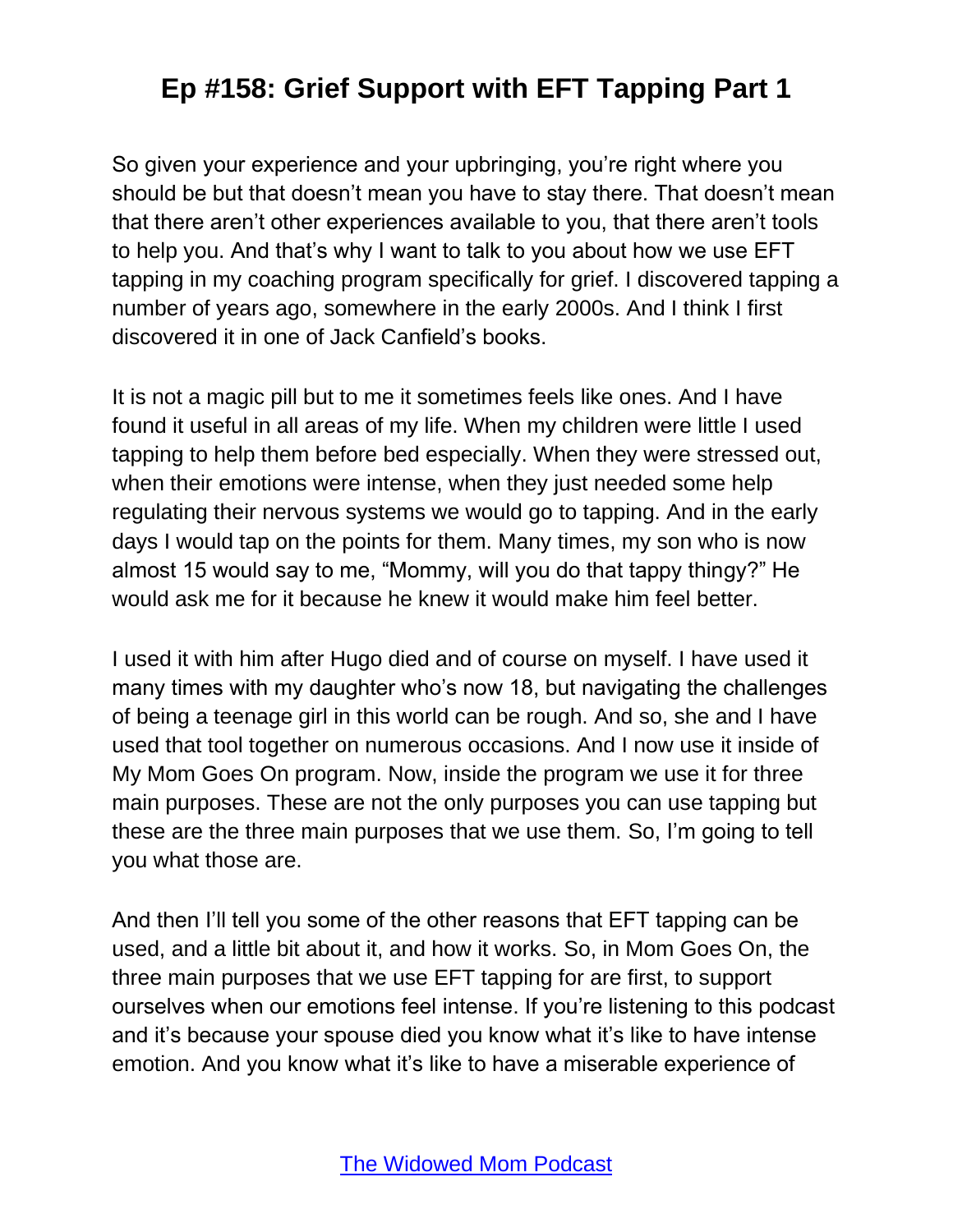So given your experience and your upbringing, you're right where you should be but that doesn't mean you have to stay there. That doesn't mean that there aren't other experiences available to you, that there aren't tools to help you. And that's why I want to talk to you about how we use EFT tapping in my coaching program specifically for grief. I discovered tapping a number of years ago, somewhere in the early 2000s. And I think I first discovered it in one of Jack Canfield's books.

It is not a magic pill but to me it sometimes feels like ones. And I have found it useful in all areas of my life. When my children were little I used tapping to help them before bed especially. When they were stressed out, when their emotions were intense, when they just needed some help regulating their nervous systems we would go to tapping. And in the early days I would tap on the points for them. Many times, my son who is now almost 15 would say to me, "Mommy, will you do that tappy thingy?" He would ask me for it because he knew it would make him feel better.

I used it with him after Hugo died and of course on myself. I have used it many times with my daughter who's now 18, but navigating the challenges of being a teenage girl in this world can be rough. And so, she and I have used that tool together on numerous occasions. And I now use it inside of My Mom Goes On program. Now, inside the program we use it for three main purposes. These are not the only purposes you can use tapping but these are the three main purposes that we use them. So, I'm going to tell you what those are.

And then I'll tell you some of the other reasons that EFT tapping can be used, and a little bit about it, and how it works. So, in Mom Goes On, the three main purposes that we use EFT tapping for are first, to support ourselves when our emotions feel intense. If you're listening to this podcast and it's because your spouse died you know what it's like to have intense emotion. And you know what it's like to have a miserable experience of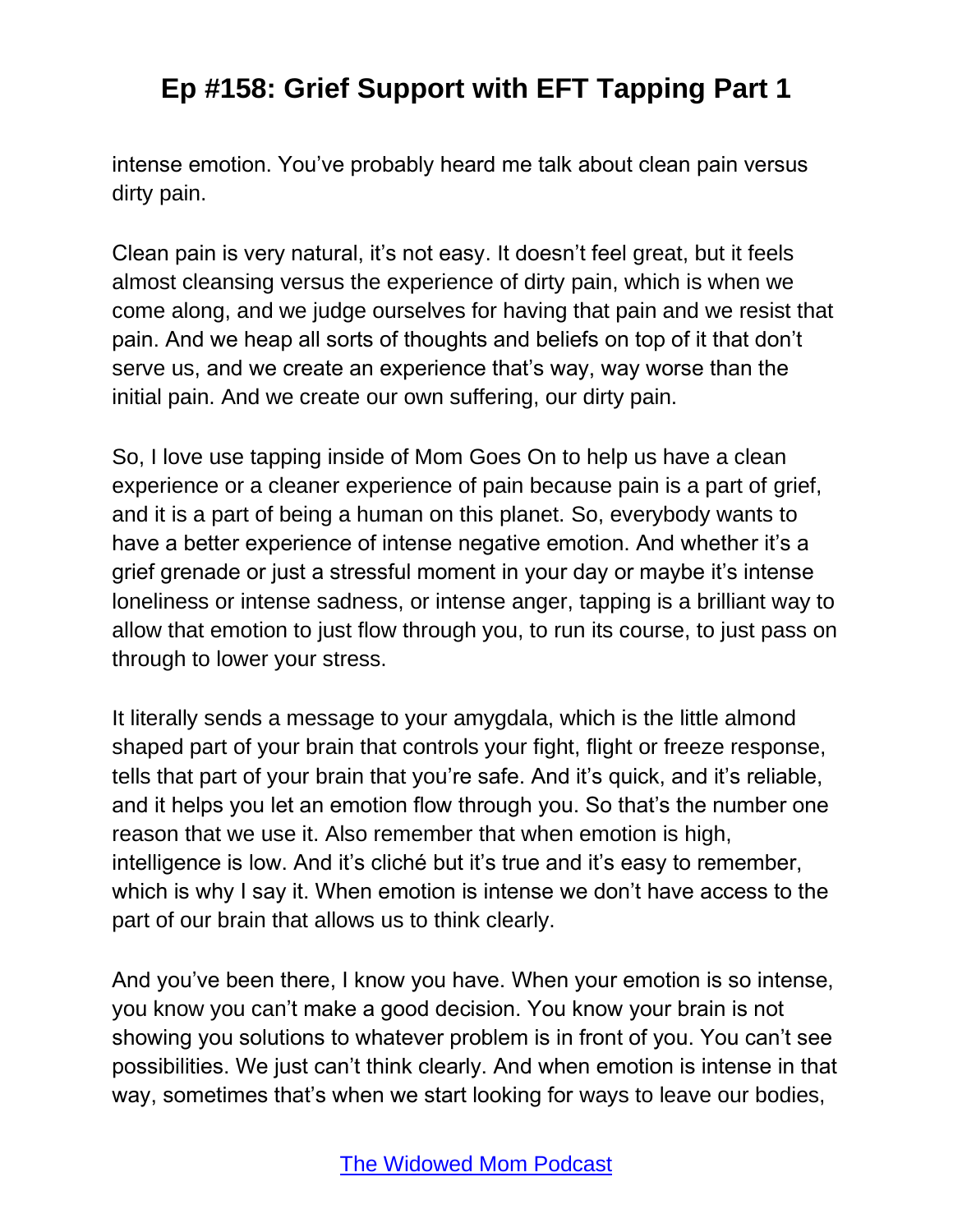intense emotion. You've probably heard me talk about clean pain versus dirty pain.

Clean pain is very natural, it's not easy. It doesn't feel great, but it feels almost cleansing versus the experience of dirty pain, which is when we come along, and we judge ourselves for having that pain and we resist that pain. And we heap all sorts of thoughts and beliefs on top of it that don't serve us, and we create an experience that's way, way worse than the initial pain. And we create our own suffering, our dirty pain.

So, I love use tapping inside of Mom Goes On to help us have a clean experience or a cleaner experience of pain because pain is a part of grief, and it is a part of being a human on this planet. So, everybody wants to have a better experience of intense negative emotion. And whether it's a grief grenade or just a stressful moment in your day or maybe it's intense loneliness or intense sadness, or intense anger, tapping is a brilliant way to allow that emotion to just flow through you, to run its course, to just pass on through to lower your stress.

It literally sends a message to your amygdala, which is the little almond shaped part of your brain that controls your fight, flight or freeze response, tells that part of your brain that you're safe. And it's quick, and it's reliable, and it helps you let an emotion flow through you. So that's the number one reason that we use it. Also remember that when emotion is high, intelligence is low. And it's cliché but it's true and it's easy to remember, which is why I say it. When emotion is intense we don't have access to the part of our brain that allows us to think clearly.

And you've been there, I know you have. When your emotion is so intense, you know you can't make a good decision. You know your brain is not showing you solutions to whatever problem is in front of you. You can't see possibilities. We just can't think clearly. And when emotion is intense in that way, sometimes that's when we start looking for ways to leave our bodies,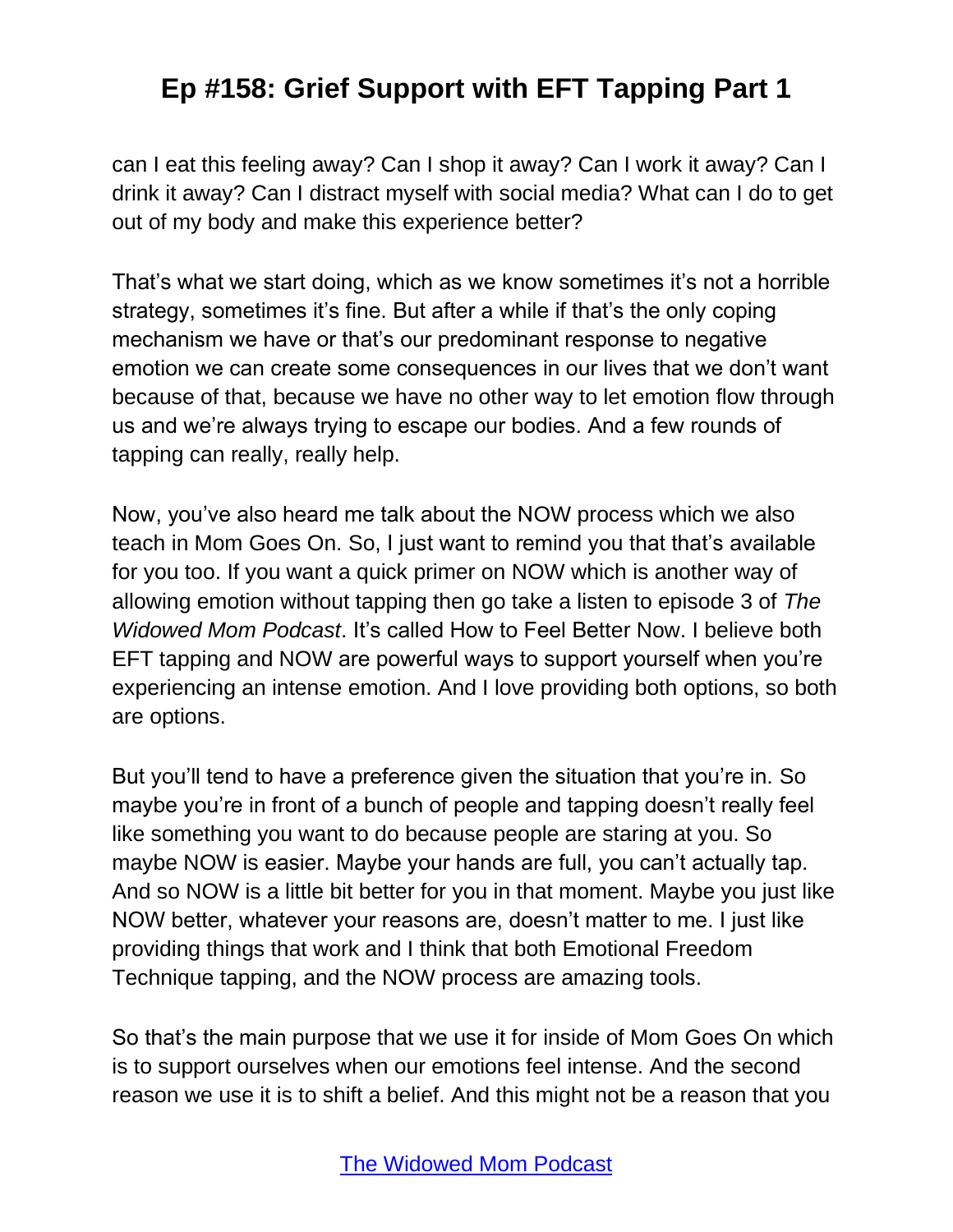can I eat this feeling away? Can I shop it away? Can I work it away? Can I drink it away? Can I distract myself with social media? What can I do to get out of my body and make this experience better?

That's what we start doing, which as we know sometimes it's not a horrible strategy, sometimes it's fine. But after a while if that's the only coping mechanism we have or that's our predominant response to negative emotion we can create some consequences in our lives that we don't want because of that, because we have no other way to let emotion flow through us and we're always trying to escape our bodies. And a few rounds of tapping can really, really help.

Now, you've also heard me talk about the NOW process which we also teach in Mom Goes On. So, I just want to remind you that that's available for you too. If you want a quick primer on NOW which is another way of allowing emotion without tapping then go take a listen to episode 3 of *The Widowed Mom Podcast*. It's called How to Feel Better Now. I believe both EFT tapping and NOW are powerful ways to support yourself when you're experiencing an intense emotion. And I love providing both options, so both are options.

But you'll tend to have a preference given the situation that you're in. So maybe you're in front of a bunch of people and tapping doesn't really feel like something you want to do because people are staring at you. So maybe NOW is easier. Maybe your hands are full, you can't actually tap. And so NOW is a little bit better for you in that moment. Maybe you just like NOW better, whatever your reasons are, doesn't matter to me. I just like providing things that work and I think that both Emotional Freedom Technique tapping, and the NOW process are amazing tools.

So that's the main purpose that we use it for inside of Mom Goes On which is to support ourselves when our emotions feel intense. And the second reason we use it is to shift a belief. And this might not be a reason that you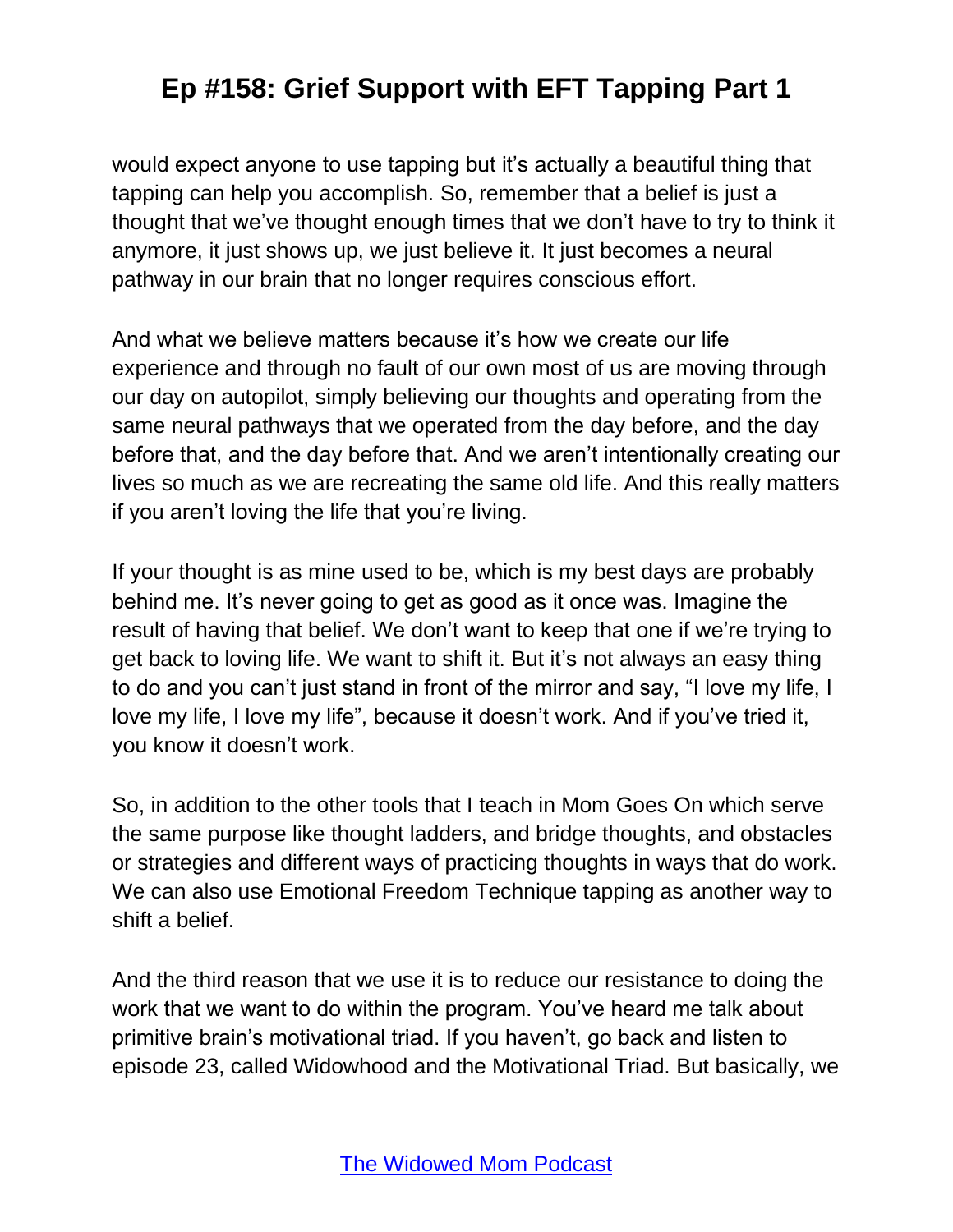would expect anyone to use tapping but it's actually a beautiful thing that tapping can help you accomplish. So, remember that a belief is just a thought that we've thought enough times that we don't have to try to think it anymore, it just shows up, we just believe it. It just becomes a neural pathway in our brain that no longer requires conscious effort.

And what we believe matters because it's how we create our life experience and through no fault of our own most of us are moving through our day on autopilot, simply believing our thoughts and operating from the same neural pathways that we operated from the day before, and the day before that, and the day before that. And we aren't intentionally creating our lives so much as we are recreating the same old life. And this really matters if you aren't loving the life that you're living.

If your thought is as mine used to be, which is my best days are probably behind me. It's never going to get as good as it once was. Imagine the result of having that belief. We don't want to keep that one if we're trying to get back to loving life. We want to shift it. But it's not always an easy thing to do and you can't just stand in front of the mirror and say, "I love my life, I love my life, I love my life", because it doesn't work. And if you've tried it, you know it doesn't work.

So, in addition to the other tools that I teach in Mom Goes On which serve the same purpose like thought ladders, and bridge thoughts, and obstacles or strategies and different ways of practicing thoughts in ways that do work. We can also use Emotional Freedom Technique tapping as another way to shift a belief.

And the third reason that we use it is to reduce our resistance to doing the work that we want to do within the program. You've heard me talk about primitive brain's motivational triad. If you haven't, go back and listen to episode 23, called Widowhood and the Motivational Triad. But basically, we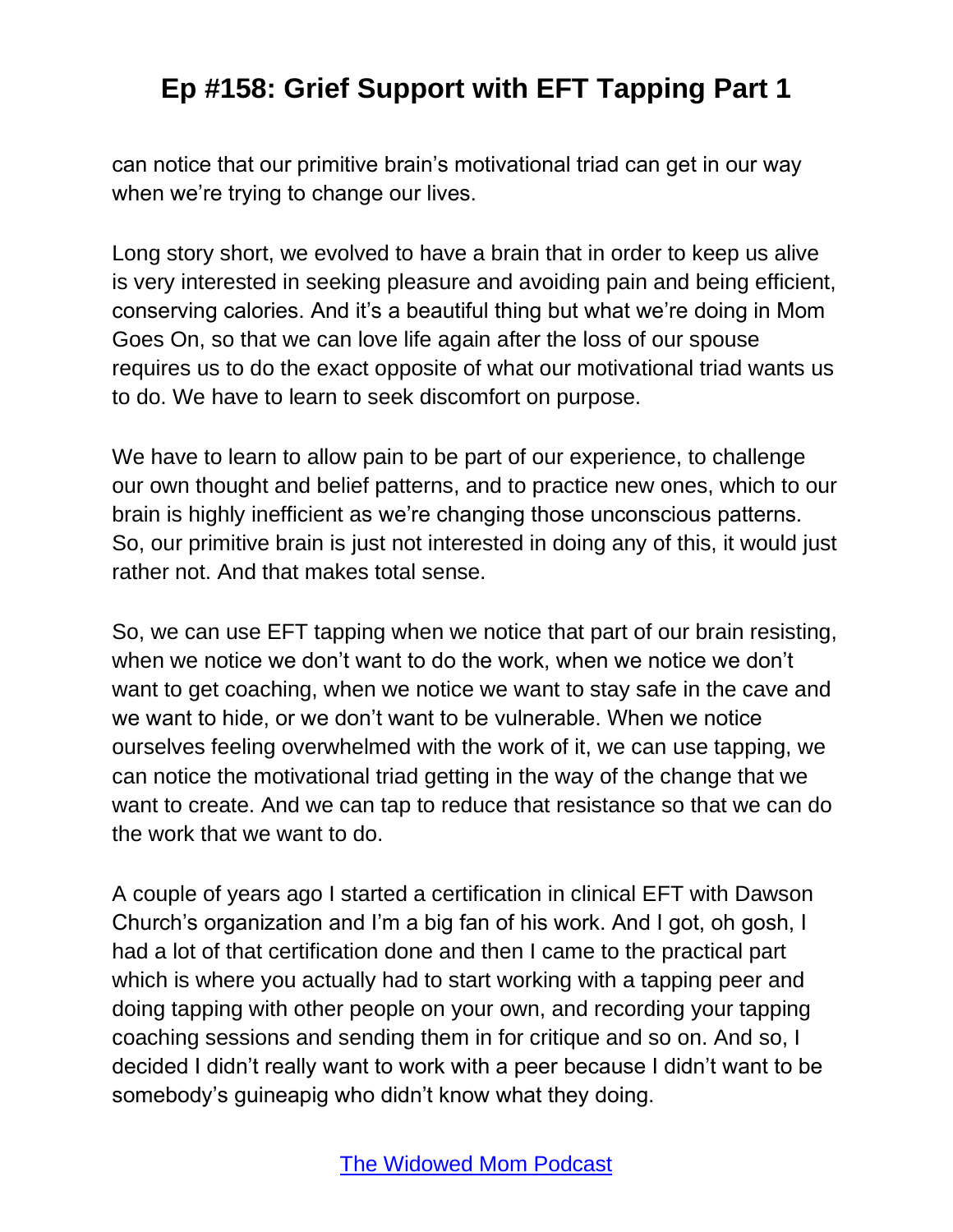can notice that our primitive brain's motivational triad can get in our way when we're trying to change our lives.

Long story short, we evolved to have a brain that in order to keep us alive is very interested in seeking pleasure and avoiding pain and being efficient, conserving calories. And it's a beautiful thing but what we're doing in Mom Goes On, so that we can love life again after the loss of our spouse requires us to do the exact opposite of what our motivational triad wants us to do. We have to learn to seek discomfort on purpose.

We have to learn to allow pain to be part of our experience, to challenge our own thought and belief patterns, and to practice new ones, which to our brain is highly inefficient as we're changing those unconscious patterns. So, our primitive brain is just not interested in doing any of this, it would just rather not. And that makes total sense.

So, we can use EFT tapping when we notice that part of our brain resisting, when we notice we don't want to do the work, when we notice we don't want to get coaching, when we notice we want to stay safe in the cave and we want to hide, or we don't want to be vulnerable. When we notice ourselves feeling overwhelmed with the work of it, we can use tapping, we can notice the motivational triad getting in the way of the change that we want to create. And we can tap to reduce that resistance so that we can do the work that we want to do.

A couple of years ago I started a certification in clinical EFT with Dawson Church's organization and I'm a big fan of his work. And I got, oh gosh, I had a lot of that certification done and then I came to the practical part which is where you actually had to start working with a tapping peer and doing tapping with other people on your own, and recording your tapping coaching sessions and sending them in for critique and so on. And so, I decided I didn't really want to work with a peer because I didn't want to be somebody's guineapig who didn't know what they doing.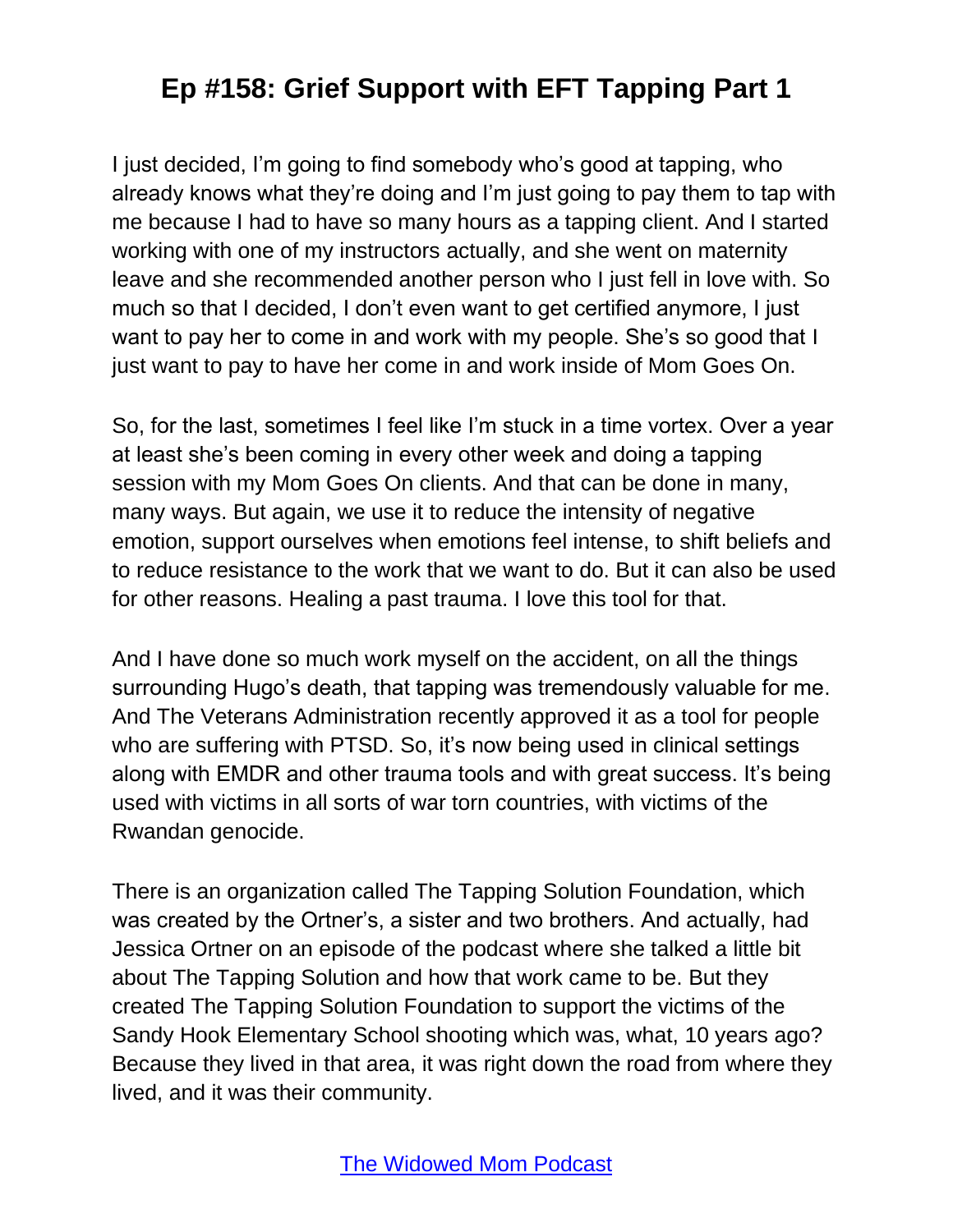I just decided, I'm going to find somebody who's good at tapping, who already knows what they're doing and I'm just going to pay them to tap with me because I had to have so many hours as a tapping client. And I started working with one of my instructors actually, and she went on maternity leave and she recommended another person who I just fell in love with. So much so that I decided, I don't even want to get certified anymore, I just want to pay her to come in and work with my people. She's so good that I just want to pay to have her come in and work inside of Mom Goes On.

So, for the last, sometimes I feel like I'm stuck in a time vortex. Over a year at least she's been coming in every other week and doing a tapping session with my Mom Goes On clients. And that can be done in many, many ways. But again, we use it to reduce the intensity of negative emotion, support ourselves when emotions feel intense, to shift beliefs and to reduce resistance to the work that we want to do. But it can also be used for other reasons. Healing a past trauma. I love this tool for that.

And I have done so much work myself on the accident, on all the things surrounding Hugo's death, that tapping was tremendously valuable for me. And The Veterans Administration recently approved it as a tool for people who are suffering with PTSD. So, it's now being used in clinical settings along with EMDR and other trauma tools and with great success. It's being used with victims in all sorts of war torn countries, with victims of the Rwandan genocide.

There is an organization called The Tapping Solution Foundation, which was created by the Ortner's, a sister and two brothers. And actually, had Jessica Ortner on an episode of the podcast where she talked a little bit about The Tapping Solution and how that work came to be. But they created The Tapping Solution Foundation to support the victims of the Sandy Hook Elementary School shooting which was, what, 10 years ago? Because they lived in that area, it was right down the road from where they lived, and it was their community.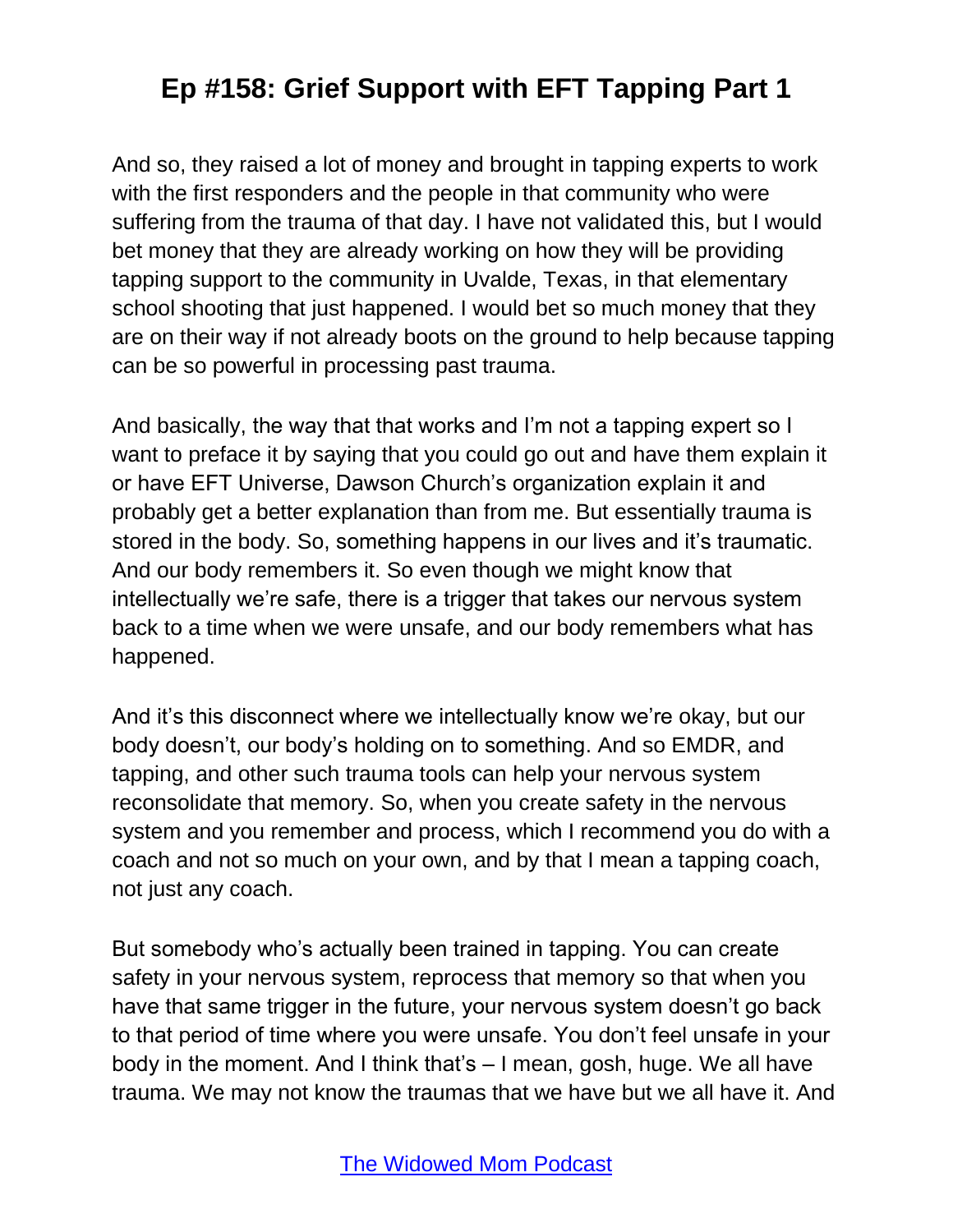And so, they raised a lot of money and brought in tapping experts to work with the first responders and the people in that community who were suffering from the trauma of that day. I have not validated this, but I would bet money that they are already working on how they will be providing tapping support to the community in Uvalde, Texas, in that elementary school shooting that just happened. I would bet so much money that they are on their way if not already boots on the ground to help because tapping can be so powerful in processing past trauma.

And basically, the way that that works and I'm not a tapping expert so I want to preface it by saying that you could go out and have them explain it or have EFT Universe, Dawson Church's organization explain it and probably get a better explanation than from me. But essentially trauma is stored in the body. So, something happens in our lives and it's traumatic. And our body remembers it. So even though we might know that intellectually we're safe, there is a trigger that takes our nervous system back to a time when we were unsafe, and our body remembers what has happened.

And it's this disconnect where we intellectually know we're okay, but our body doesn't, our body's holding on to something. And so EMDR, and tapping, and other such trauma tools can help your nervous system reconsolidate that memory. So, when you create safety in the nervous system and you remember and process, which I recommend you do with a coach and not so much on your own, and by that I mean a tapping coach, not just any coach.

But somebody who's actually been trained in tapping. You can create safety in your nervous system, reprocess that memory so that when you have that same trigger in the future, your nervous system doesn't go back to that period of time where you were unsafe. You don't feel unsafe in your body in the moment. And I think that's – I mean, gosh, huge. We all have trauma. We may not know the traumas that we have but we all have it. And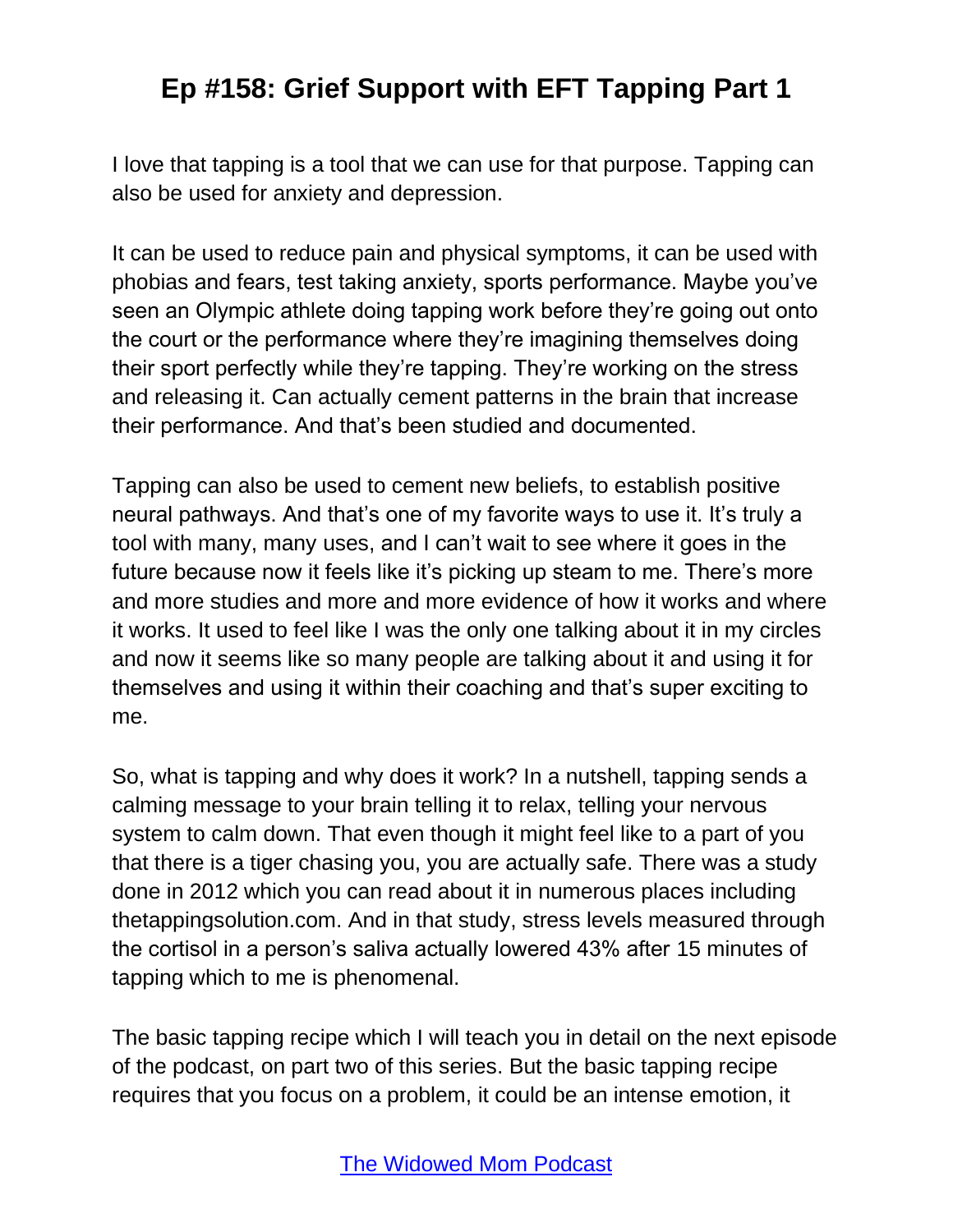I love that tapping is a tool that we can use for that purpose. Tapping can also be used for anxiety and depression.

It can be used to reduce pain and physical symptoms, it can be used with phobias and fears, test taking anxiety, sports performance. Maybe you've seen an Olympic athlete doing tapping work before they're going out onto the court or the performance where they're imagining themselves doing their sport perfectly while they're tapping. They're working on the stress and releasing it. Can actually cement patterns in the brain that increase their performance. And that's been studied and documented.

Tapping can also be used to cement new beliefs, to establish positive neural pathways. And that's one of my favorite ways to use it. It's truly a tool with many, many uses, and I can't wait to see where it goes in the future because now it feels like it's picking up steam to me. There's more and more studies and more and more evidence of how it works and where it works. It used to feel like I was the only one talking about it in my circles and now it seems like so many people are talking about it and using it for themselves and using it within their coaching and that's super exciting to me.

So, what is tapping and why does it work? In a nutshell, tapping sends a calming message to your brain telling it to relax, telling your nervous system to calm down. That even though it might feel like to a part of you that there is a tiger chasing you, you are actually safe. There was a study done in 2012 which you can read about it in numerous places including thetappingsolution.com. And in that study, stress levels measured through the cortisol in a person's saliva actually lowered 43% after 15 minutes of tapping which to me is phenomenal.

The basic tapping recipe which I will teach you in detail on the next episode of the podcast, on part two of this series. But the basic tapping recipe requires that you focus on a problem, it could be an intense emotion, it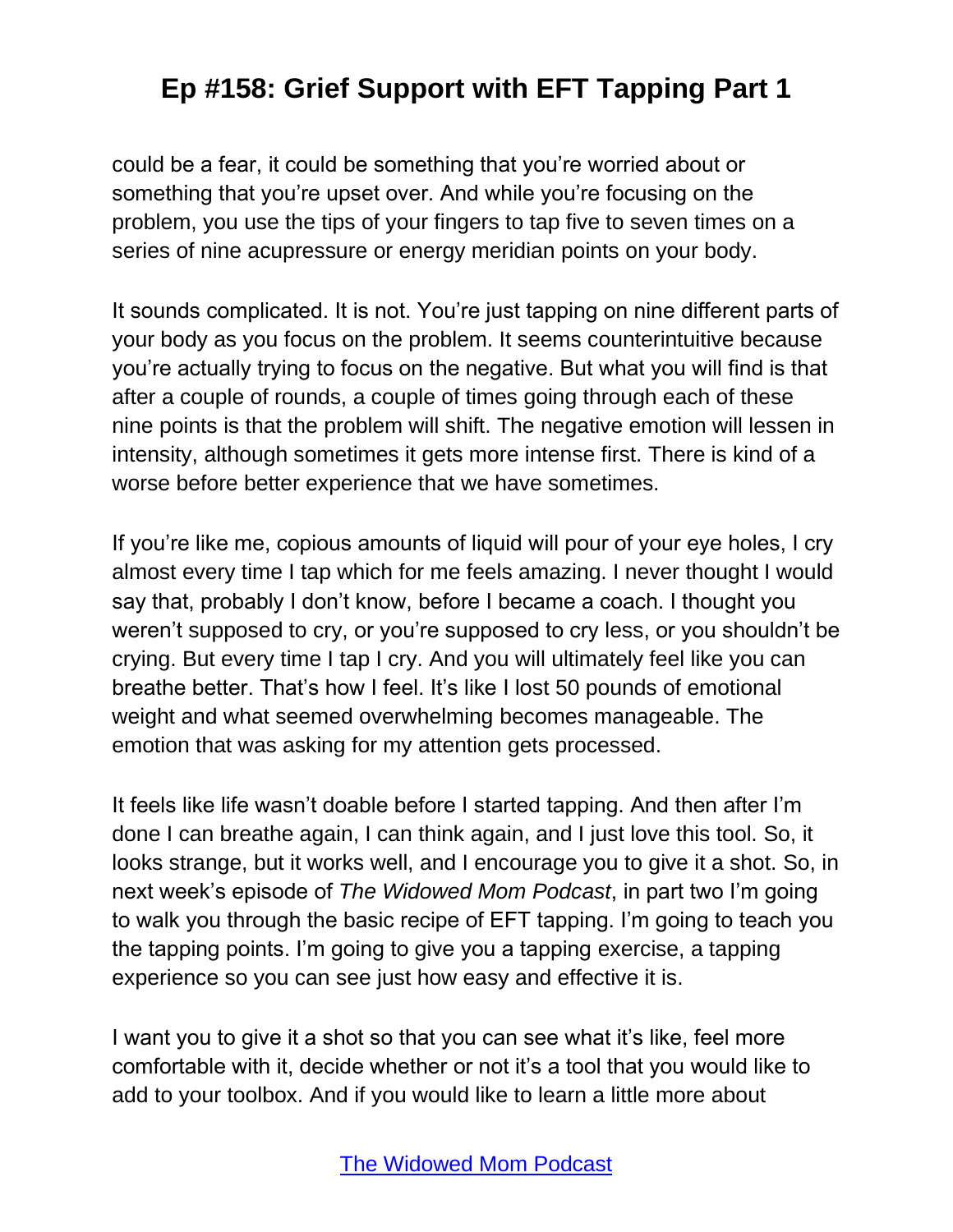could be a fear, it could be something that you're worried about or something that you're upset over. And while you're focusing on the problem, you use the tips of your fingers to tap five to seven times on a series of nine acupressure or energy meridian points on your body.

It sounds complicated. It is not. You're just tapping on nine different parts of your body as you focus on the problem. It seems counterintuitive because you're actually trying to focus on the negative. But what you will find is that after a couple of rounds, a couple of times going through each of these nine points is that the problem will shift. The negative emotion will lessen in intensity, although sometimes it gets more intense first. There is kind of a worse before better experience that we have sometimes.

If you're like me, copious amounts of liquid will pour of your eye holes, I cry almost every time I tap which for me feels amazing. I never thought I would say that, probably I don't know, before I became a coach. I thought you weren't supposed to cry, or you're supposed to cry less, or you shouldn't be crying. But every time I tap I cry. And you will ultimately feel like you can breathe better. That's how I feel. It's like I lost 50 pounds of emotional weight and what seemed overwhelming becomes manageable. The emotion that was asking for my attention gets processed.

It feels like life wasn't doable before I started tapping. And then after I'm done I can breathe again, I can think again, and I just love this tool. So, it looks strange, but it works well, and I encourage you to give it a shot. So, in next week's episode of *The Widowed Mom Podcast*, in part two I'm going to walk you through the basic recipe of EFT tapping. I'm going to teach you the tapping points. I'm going to give you a tapping exercise, a tapping experience so you can see just how easy and effective it is.

I want you to give it a shot so that you can see what it's like, feel more comfortable with it, decide whether or not it's a tool that you would like to add to your toolbox. And if you would like to learn a little more about